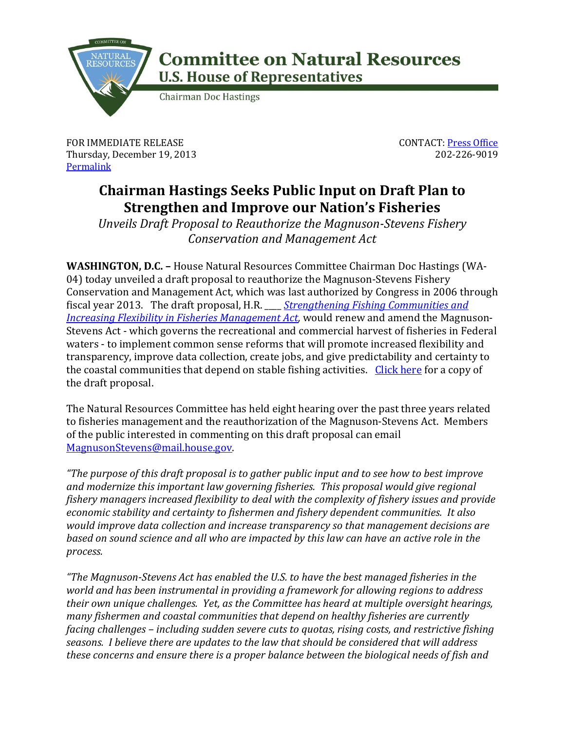

## **Committee on Natural Resources U.S. House of Representatives**

**Chairman Doc Hastings** 

FOR IMMEDIATE RELEASE Thursday, December 19, 2013 **[Permalink](http://naturalresources.house.gov/news/documentsingle.aspx?DocumentID=364840)** 

CONTACT: [Press Office](http://naturalresources.house.gov/contact/media.htm) 202-226-9019

## **Chairman Hastings Seeks Public Input on Draft Plan to Strengthen and Improve our Nation's Fisheries**

*Unveils Draft Proposal to Reauthorize the Magnuson-Stevens Fishery Conservation and Management Act*

**WASHINGTON, D.C. –** House Natural Resources Committee Chairman Doc Hastings (WA-04) today unveiled a draft proposal to reauthorize the Magnuson-Stevens Fishery Conservation and Management Act, which was last authorized by Congress in 2006 through fiscal year 2013. The draft proposal, H.R. \_\_\_\_ *[Strengthening Fishing Communities and](http://naturalresources.house.gov/UploadedFiles/MagnusonStevensActDiscussionDraft-113.pdf)  [Increasing Flexibility in Fisheries Management Act,](http://naturalresources.house.gov/UploadedFiles/MagnusonStevensActDiscussionDraft-113.pdf)* would renew and amend the Magnuson-Stevens Act - which governs the recreational and commercial harvest of fisheries in Federal waters - to implement common sense reforms that will promote increased flexibility and transparency, improve data collection, create jobs, and give predictability and certainty to the coastal communities that depend on stable fishing activities. [Click here](http://naturalresources.house.gov/UploadedFiles/MagnusonStevensActDiscussionDraft-113.pdf) for a copy of the draft proposal.

The Natural Resources Committee has held eight hearing over the past three years related to fisheries management and the reauthorization of the Magnuson-Stevens Act. Members of the public interested in commenting on this draft proposal can email [MagnusonStevens@mail.house.gov.](mailto:MagnusonStevens@mail.house.gov)

*"The purpose of this draft proposal is to gather public input and to see how to best improve and modernize this important law governing fisheries. This proposal would give regional fishery managers increased flexibility to deal with the complexity of fishery issues and provide economic stability and certainty to fishermen and fishery dependent communities. It also would improve data collection and increase transparency so that management decisions are based on sound science and all who are impacted by this law can have an active role in the process.*

*"The Magnuson-Stevens Act has enabled the U.S. to have the best managed fisheries in the world and has been instrumental in providing a framework for allowing regions to address their own unique challenges. Yet, as the Committee has heard at multiple oversight hearings, many fishermen and coastal communities that depend on healthy fisheries are currently facing challenges – including sudden severe cuts to quotas, rising costs, and restrictive fishing seasons. I believe there are updates to the law that should be considered that will address these concerns and ensure there is a proper balance between the biological needs of fish and*